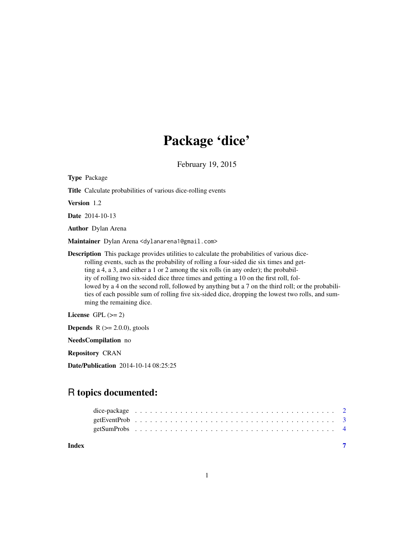# Package 'dice'

February 19, 2015

| <b>Type Package</b>                                                                                                                                                                                                                                                                                                                                                                                                                                                                                                                                                                                                   |
|-----------------------------------------------------------------------------------------------------------------------------------------------------------------------------------------------------------------------------------------------------------------------------------------------------------------------------------------------------------------------------------------------------------------------------------------------------------------------------------------------------------------------------------------------------------------------------------------------------------------------|
| <b>Title</b> Calculate probabilities of various dice-rolling events                                                                                                                                                                                                                                                                                                                                                                                                                                                                                                                                                   |
| <b>Version</b> 1.2                                                                                                                                                                                                                                                                                                                                                                                                                                                                                                                                                                                                    |
| <b>Date</b> 2014-10-13                                                                                                                                                                                                                                                                                                                                                                                                                                                                                                                                                                                                |
| <b>Author</b> Dylan Arena                                                                                                                                                                                                                                                                                                                                                                                                                                                                                                                                                                                             |
| Maintainer Dylan Arena <dylanarena1@gmail.com></dylanarena1@gmail.com>                                                                                                                                                                                                                                                                                                                                                                                                                                                                                                                                                |
| <b>Description</b> This package provides utilities to calculate the probabilities of various dice-<br>rolling events, such as the probability of rolling a four-sided die six times and get-<br>ting a 4, a 3, and either a 1 or 2 among the six rolls (in any order); the probabil-<br>ity of rolling two six-sided dice three times and getting a 10 on the first roll, fol-<br>lowed by a 4 on the second roll, followed by anything but a 7 on the third roll; or the probabili-<br>ties of each possible sum of rolling five six-sided dice, dropping the lowest two rolls, and sum-<br>ming the remaining dice. |
| License GPL $(>= 2)$                                                                                                                                                                                                                                                                                                                                                                                                                                                                                                                                                                                                  |
| <b>Depends</b> $R (= 2.0.0)$ , gtools                                                                                                                                                                                                                                                                                                                                                                                                                                                                                                                                                                                 |
| NeedsCompilation no                                                                                                                                                                                                                                                                                                                                                                                                                                                                                                                                                                                                   |
| <b>Repository CRAN</b>                                                                                                                                                                                                                                                                                                                                                                                                                                                                                                                                                                                                |

Date/Publication 2014-10-14 08:25:25

# R topics documented:

| Index |  |  |  |  |  |  |  |  |  |  |  |  |  |  |  |  |  |  |  |  |  |
|-------|--|--|--|--|--|--|--|--|--|--|--|--|--|--|--|--|--|--|--|--|--|
|       |  |  |  |  |  |  |  |  |  |  |  |  |  |  |  |  |  |  |  |  |  |
|       |  |  |  |  |  |  |  |  |  |  |  |  |  |  |  |  |  |  |  |  |  |
|       |  |  |  |  |  |  |  |  |  |  |  |  |  |  |  |  |  |  |  |  |  |

1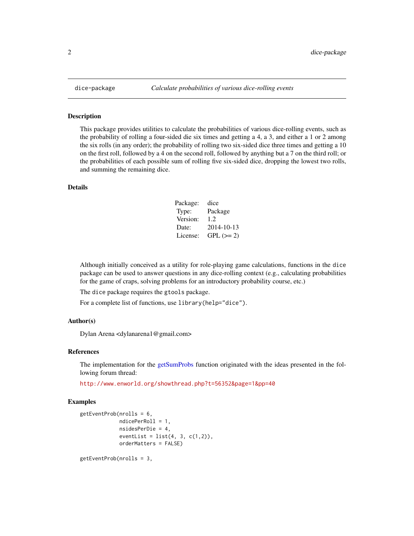#### Description

This package provides utilities to calculate the probabilities of various dice-rolling events, such as the probability of rolling a four-sided die six times and getting a 4, a 3, and either a 1 or 2 among the six rolls (in any order); the probability of rolling two six-sided dice three times and getting a 10 on the first roll, followed by a 4 on the second roll, followed by anything but a 7 on the third roll; or the probabilities of each possible sum of rolling five six-sided dice, dropping the lowest two rolls, and summing the remaining dice.

#### Details

| Package: | dice       |
|----------|------------|
| Type:    | Package    |
| Version: | 1.2.       |
| Date:    | 2014-10-13 |
| License: | $GPL (=2)$ |

Although initially conceived as a utility for role-playing game calculations, functions in the dice package can be used to answer questions in any dice-rolling context (e.g., calculating probabilities for the game of craps, solving problems for an introductory probability course, etc.)

The dice package requires the gtools package.

For a complete list of functions, use library(help="dice").

#### Author(s)

Dylan Arena <dylanarena1@gmail.com>

#### References

The implementation for the [getSumProbs](#page-3-1) function originated with the ideas presented in the following forum thread:

<http://www.enworld.org/showthread.php?t=56352&page=1&pp=40>

#### Examples

```
getEventProb(nrolls = 6,
             ndicePerRoll = 1,
             nsidesPerDie = 4,
             eventList = list(4, 3, c(1,2)),orderMatters = FALSE)
```
getEventProb(nrolls = 3,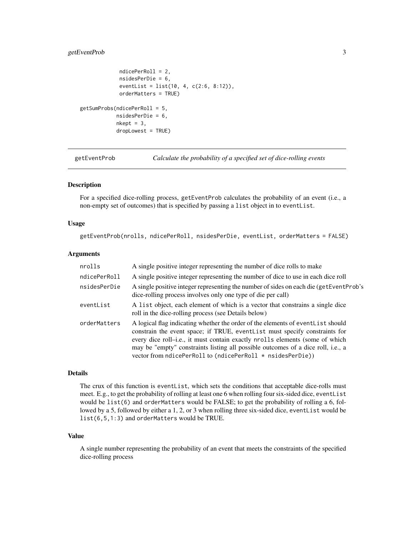#### <span id="page-2-0"></span>getEventProb 3

```
ndicePerRoll = 2,
             nsidesPerDie = 6,
             eventList = list(10, 4, c(2:6, 8:12)),
             orderMatters = TRUE)
getSumProbs(ndicePerRoll = 5,
            nsidesPerDie = 6,
            nkept = 3,
            dropLowest = TRUE)
```
getEventProb *Calculate the probability of a specified set of dice-rolling events*

#### Description

For a specified dice-rolling process, getEventProb calculates the probability of an event (i.e., a non-empty set of outcomes) that is specified by passing a list object in to eventList.

#### Usage

getEventProb(nrolls, ndicePerRoll, nsidesPerDie, eventList, orderMatters = FALSE)

#### Arguments

| nrolls       | A single positive integer representing the number of dice rolls to make                                                                                                                                                                                                                                                                                                                           |
|--------------|---------------------------------------------------------------------------------------------------------------------------------------------------------------------------------------------------------------------------------------------------------------------------------------------------------------------------------------------------------------------------------------------------|
| ndicePerRoll | A single positive integer representing the number of dice to use in each dice roll                                                                                                                                                                                                                                                                                                                |
| nsidesPerDie | A single positive integer representing the number of sides on each die (getEventProb's<br>dice-rolling process involves only one type of die per call)                                                                                                                                                                                                                                            |
| eventList    | A list object, each element of which is a vector that constrains a single dice<br>roll in the dice-rolling process (see Details below)                                                                                                                                                                                                                                                            |
| orderMatters | A logical flag indicating whether the order of the elements of event List should<br>constrain the event space; if TRUE, event List must specify constraints for<br>every dice roll-i.e., it must contain exactly nrolls elements (some of which<br>may be "empty" constraints listing all possible outcomes of a dice roll, i.e., a<br>vector from ndicePerRoll to (ndicePerRoll * nsidesPerDie)) |

#### Details

The crux of this function is eventList, which sets the conditions that acceptable dice-rolls must meet. E.g., to get the probability of rolling at least one 6 when rolling four six-sided dice, eventList would be list(6) and orderMatters would be FALSE; to get the probability of rolling a 6, followed by a 5, followed by either a 1, 2, or 3 when rolling three six-sided dice, eventList would be list(6,5,1:3) and orderMatters would be TRUE.

#### Value

A single number representing the probability of an event that meets the constraints of the specified dice-rolling process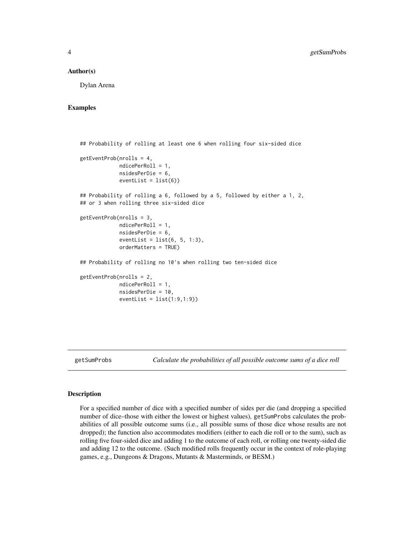#### <span id="page-3-0"></span>Author(s)

Dylan Arena

#### Examples

```
## Probability of rolling at least one 6 when rolling four six-sided dice
getEventProb(nrolls = 4,
            ndicePerRoll = 1,
             nsidesPerDie = 6,
             eventList = list(6)## Probability of rolling a 6, followed by a 5, followed by either a 1, 2,
## or 3 when rolling three six-sided dice
getEventProb(nrolls = 3,
             ndicePerRoll = 1,
             nsidesPerDie = 6,
             eventList = list(6, 5, 1:3),
             orderMatters = TRUE)
## Probability of rolling no 10's when rolling two ten-sided dice
getEventProb(nrolls = 2,
            ndicePerRoll = 1,
             nsidesPerDie = 10,
             eventList = list(1:9,1:9)
```
<span id="page-3-1"></span>

getSumProbs *Calculate the probabilities of all possible outcome sums of a dice roll*

#### Description

For a specified number of dice with a specified number of sides per die (and dropping a specified number of dice–those with either the lowest or highest values), getSumProbs calculates the probabilities of all possible outcome sums (i.e., all possible sums of those dice whose results are not dropped); the function also accommodates modifiers (either to each die roll or to the sum), such as rolling five four-sided dice and adding 1 to the outcome of each roll, or rolling one twenty-sided die and adding 12 to the outcome. (Such modified rolls frequently occur in the context of role-playing games, e.g., Dungeons & Dragons, Mutants & Masterminds, or BESM.)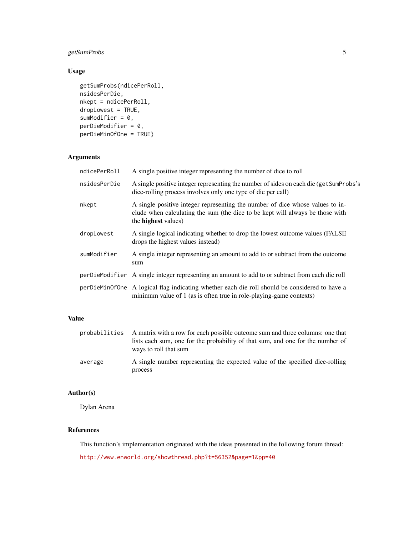## getSumProbs 5

### Usage

```
getSumProbs(ndicePerRoll,
nsidesPerDie,
nkept = ndicePerRoll,
droplowest = TRUE,sumModifier = 0,
perDieModifier = 0,
perDieMinOfOne = TRUE)
```
#### Arguments

| ndicePerRoll | A single positive integer representing the number of dice to roll                                                                                                                            |
|--------------|----------------------------------------------------------------------------------------------------------------------------------------------------------------------------------------------|
| nsidesPerDie | A single positive integer representing the number of sides on each die (get SumProbs's<br>dice-rolling process involves only one type of die per call)                                       |
| nkept        | A single positive integer representing the number of dice whose values to in-<br>clude when calculating the sum (the dice to be kept will always be those with<br>the <b>highest</b> values) |
| dropLowest   | A single logical indicating whether to drop the lowest outcome values (FALSE<br>drops the highest values instead)                                                                            |
| sumModifier  | A single integer representing an amount to add to or subtract from the outcome<br>sum                                                                                                        |
|              | per Die Modifier A single integer representing an amount to add to or subtract from each die roll                                                                                            |
|              | perDieMinOfOne A logical flag indicating whether each die roll should be considered to have a<br>minimum value of 1 (as is often true in role-playing-game contexts)                         |

### Value

| probabilities | A matrix with a row for each possible outcome sum and three columns: one that<br>lists each sum, one for the probability of that sum, and one for the number of<br>ways to roll that sum |
|---------------|------------------------------------------------------------------------------------------------------------------------------------------------------------------------------------------|
| average       | A single number representing the expected value of the specified dice-rolling<br>process                                                                                                 |

#### Author(s)

Dylan Arena

#### References

This function's implementation originated with the ideas presented in the following forum thread:

<http://www.enworld.org/showthread.php?t=56352&page=1&pp=40>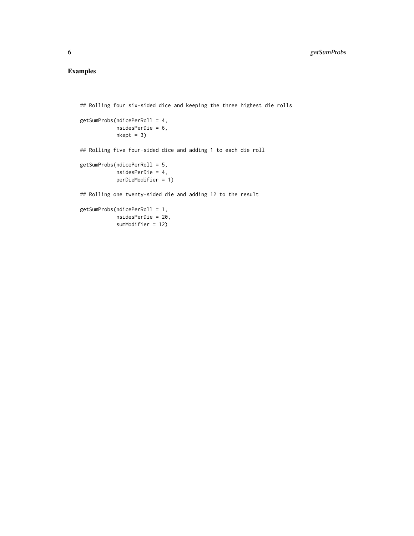# Examples

## Rolling four six-sided dice and keeping the three highest die rolls

```
getSumProbs(ndicePerRoll = 4,
            nsidesPerDie = 6,
            nkept = 3)
```
## Rolling five four-sided dice and adding 1 to each die roll

```
getSumProbs(ndicePerRoll = 5,
           nsidesPerDie = 4,
           perDieModifier = 1)
```
## Rolling one twenty-sided die and adding 12 to the result

```
getSumProbs(ndicePerRoll = 1,
           nsidesPerDie = 20,
           sumModifier = 12)
```